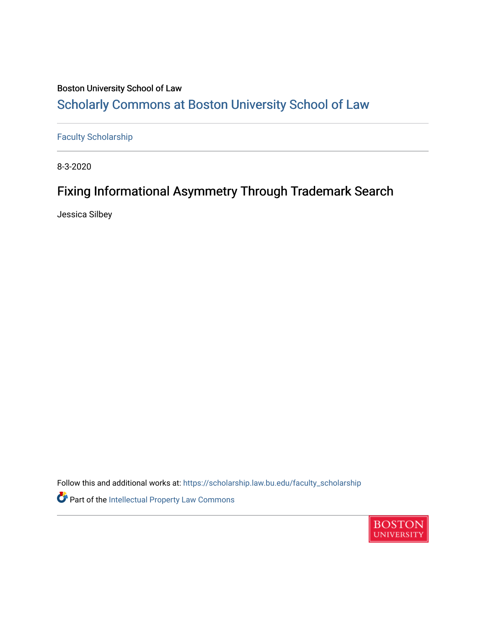## Boston University School of Law [Scholarly Commons at Boston University School of Law](https://scholarship.law.bu.edu/)

[Faculty Scholarship](https://scholarship.law.bu.edu/faculty_scholarship)

8-3-2020

## Fixing Informational Asymmetry Through Trademark Search

Jessica Silbey

Follow this and additional works at: [https://scholarship.law.bu.edu/faculty\\_scholarship](https://scholarship.law.bu.edu/faculty_scholarship?utm_source=scholarship.law.bu.edu%2Ffaculty_scholarship%2F1378&utm_medium=PDF&utm_campaign=PDFCoverPages) Part of the [Intellectual Property Law Commons](http://network.bepress.com/hgg/discipline/896?utm_source=scholarship.law.bu.edu%2Ffaculty_scholarship%2F1378&utm_medium=PDF&utm_campaign=PDFCoverPages) 

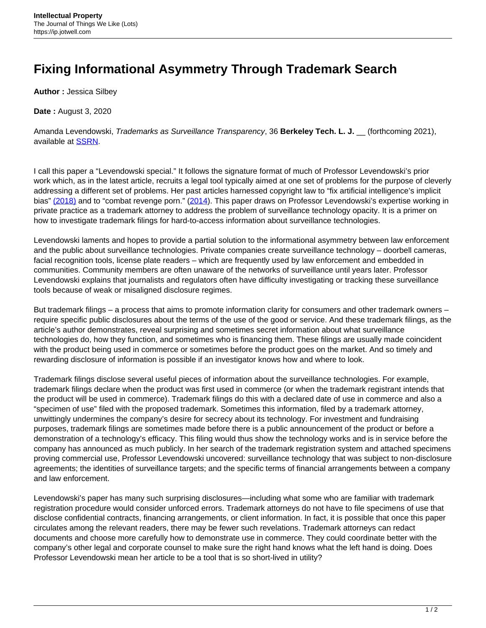## **Fixing Informational Asymmetry Through Trademark Search**

**Author :** Jessica Silbey

**Date :** August 3, 2020

Amanda Levendowski, Trademarks as Surveillance Transparency, 36 **Berkeley Tech. L. J.** \_\_ (forthcoming 2021), available at [SSRN.](https://papers.ssrn.com/sol3/papers.cfm?abstract_id=3544195)

I call this paper a "Levendowski special." It follows the signature format of much of Professor Levendowski's prior work which, as in the latest article, recruits a legal tool typically aimed at one set of problems for the purpose of cleverly addressing a different set of problems. Her past articles harnessed copyright law to "fix artificial intelligence's implicit bias" [\(2018\)](https://papers.ssrn.com/sol3/papers.cfm?abstract_id=3024938) and to "combat revenge porn." [\(2014\)](https://jipel.law.nyu.edu/wp-content/uploads/2015/05/NYU_JIPEL_Vol-3-No-2_6_Levendowski_RevengePorn.pdf). This paper draws on Professor Levendowski's expertise working in private practice as a trademark attorney to address the problem of surveillance technology opacity. It is a primer on how to investigate trademark filings for hard-to-access information about surveillance technologies.

Levendowski laments and hopes to provide a partial solution to the informational asymmetry between law enforcement and the public about surveillance technologies. Private companies create surveillance technology – doorbell cameras, facial recognition tools, license plate readers – which are frequently used by law enforcement and embedded in communities. Community members are often unaware of the networks of surveillance until years later. Professor Levendowski explains that journalists and regulators often have difficulty investigating or tracking these surveillance tools because of weak or misaligned disclosure regimes.

But trademark filings – a process that aims to promote information clarity for consumers and other trademark owners – require specific public disclosures about the terms of the use of the good or service. And these trademark filings, as the article's author demonstrates, reveal surprising and sometimes secret information about what surveillance technologies do, how they function, and sometimes who is financing them. These filings are usually made coincident with the product being used in commerce or sometimes before the product goes on the market. And so timely and rewarding disclosure of information is possible if an investigator knows how and where to look.

Trademark filings disclose several useful pieces of information about the surveillance technologies. For example, trademark filings declare when the product was first used in commerce (or when the trademark registrant intends that the product will be used in commerce). Trademark filings do this with a declared date of use in commerce and also a "specimen of use" filed with the proposed trademark. Sometimes this information, filed by a trademark attorney, unwittingly undermines the company's desire for secrecy about its technology. For investment and fundraising purposes, trademark filings are sometimes made before there is a public announcement of the product or before a demonstration of a technology's efficacy. This filing would thus show the technology works and is in service before the company has announced as much publicly. In her search of the trademark registration system and attached specimens proving commercial use, Professor Levendowski uncovered: surveillance technology that was subject to non-disclosure agreements; the identities of surveillance targets; and the specific terms of financial arrangements between a company and law enforcement.

Levendowski's paper has many such surprising disclosures—including what some who are familiar with trademark registration procedure would consider unforced errors. Trademark attorneys do not have to file specimens of use that disclose confidential contracts, financing arrangements, or client information. In fact, it is possible that once this paper circulates among the relevant readers, there may be fewer such revelations. Trademark attorneys can redact documents and choose more carefully how to demonstrate use in commerce. They could coordinate better with the company's other legal and corporate counsel to make sure the right hand knows what the left hand is doing. Does Professor Levendowski mean her article to be a tool that is so short-lived in utility?